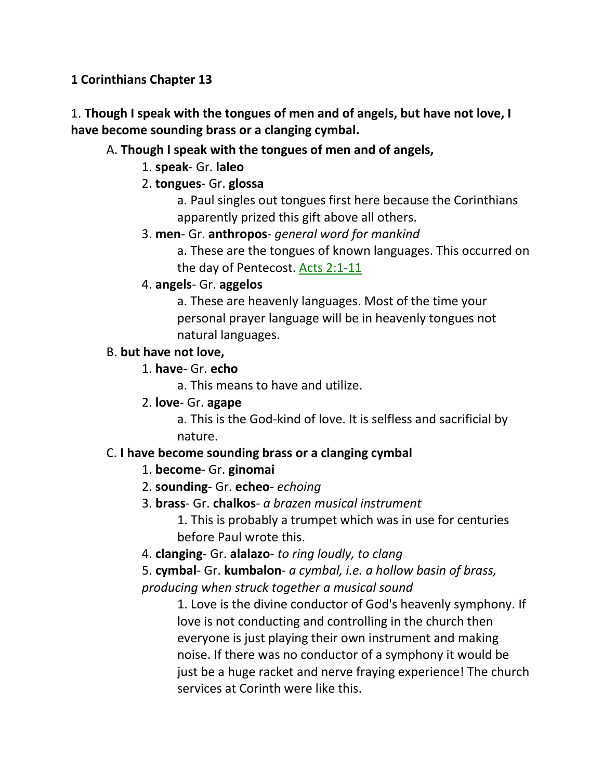**1 Corinthians Chapter 13**

1. **Though I speak with the tongues of men and of angels, but have not love, I have become sounding brass or a clanging cymbal.** 

# A. **Though I speak with the tongues of men and of angels,**

- 1. **speak** Gr. **laleo**
- 2. **tongues** Gr. **glossa**

a. Paul singles out tongues first here because the Corinthians apparently prized this gift above all others.

3. **men**- Gr. **anthropos**- *general word for mankind*

a. These are the tongues of known languages. This occurred on the day of Pentecost. Acts 2:1-11

4. **angels**- Gr. **aggelos**

a. These are heavenly languages. Most of the time your personal prayer language will be in heavenly tongues not natural languages.

# B. **but have not love,**

1. **have**- Gr. **echo**

a. This means to have and utilize.

2. **love**- Gr. **agape**

a. This is the God-kind of love. It is selfless and sacrificial by nature.

# C. **I have become sounding brass or a clanging cymbal**

- 1. **become** Gr. **ginomai**
- 2. **sounding** Gr. **echeo** *echoing*
- 3. **brass** Gr. **chalkos** *a brazen musical instrument*

1. This is probably a trumpet which was in use for centuries before Paul wrote this.

4. **clanging**- Gr. **alalazo**- *to ring loudly, to clang*

5. **cymbal**- Gr. **kumbalon**- *a cymbal, i.e. a hollow basin of brass, producing when struck together a musical sound*

1. Love is the divine conductor of God's heavenly symphony. If love is not conducting and controlling in the church then everyone is just playing their own instrument and making noise. If there was no conductor of a symphony it would be just be a huge racket and nerve fraying experience! The church services at Corinth were like this.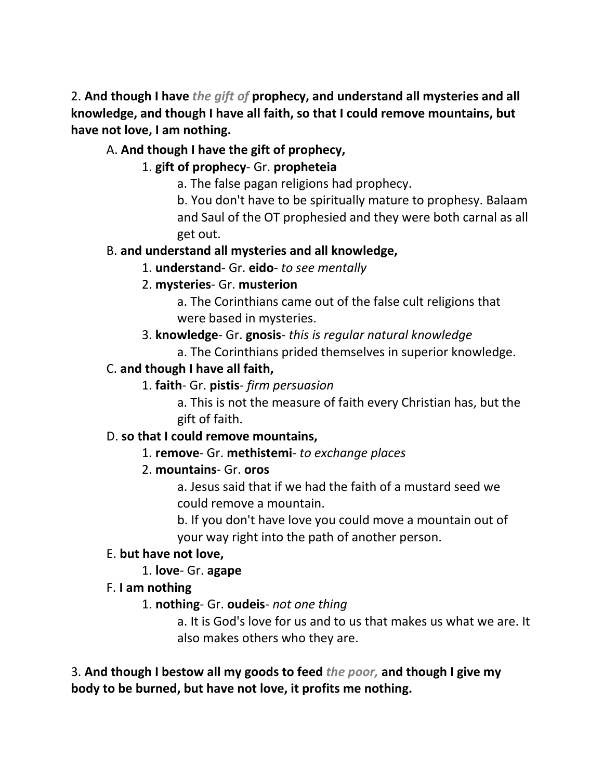2. **And though I have** *the gift of* **prophecy, and understand all mysteries and all knowledge, and though I have all faith, so that I could remove mountains, but have not love, I am nothing.** 

# A. **And though I have the gift of prophecy,**

# 1. **gift of prophecy**- Gr. **propheteia**

a. The false pagan religions had prophecy.

b. You don't have to be spiritually mature to prophesy. Balaam and Saul of the OT prophesied and they were both carnal as all get out.

# B. **and understand all mysteries and all knowledge,**

1. **understand**- Gr. **eido**- *to see mentally*

# 2. **mysteries**- Gr. **musterion**

a. The Corinthians came out of the false cult religions that were based in mysteries.

3. **knowledge**- Gr. **gnosis**- *this is regular natural knowledge*

a. The Corinthians prided themselves in superior knowledge.

# C. **and though I have all faith,**

1. **faith**- Gr. **pistis**- *firm persuasion*

a. This is not the measure of faith every Christian has, but the gift of faith.

# D. **so that I could remove mountains,**

# 1. **remove**- Gr. **methistemi**- *to exchange places*

# 2. **mountains**- Gr. **oros**

a. Jesus said that if we had the faith of a mustard seed we could remove a mountain.

b. If you don't have love you could move a mountain out of your way right into the path of another person.

# E. **but have not love,**

# 1. **love**- Gr. **agape**

# F. **I am nothing**

# 1. **nothing**- Gr. **oudeis**- *not one thing*

a. It is God's love for us and to us that makes us what we are. It also makes others who they are.

3. **And though I bestow all my goods to feed** *the poor,* **and though I give my body to be burned, but have not love, it profits me nothing.**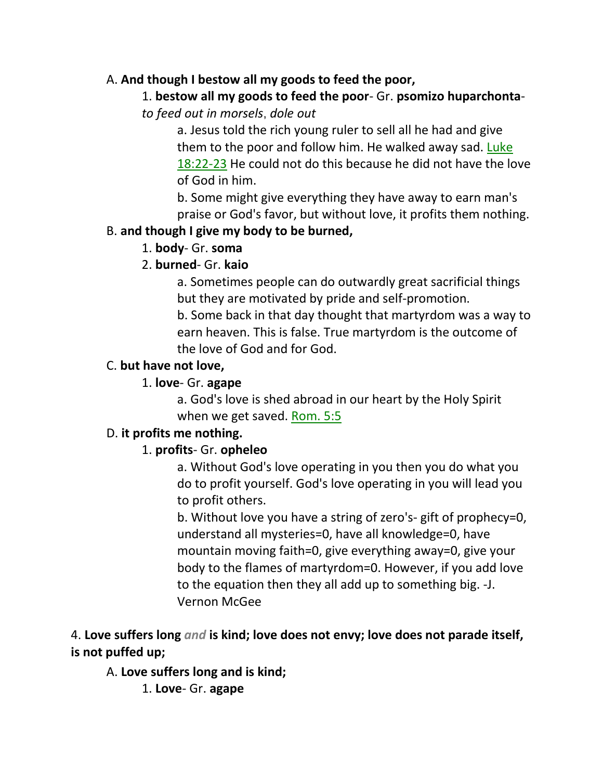### A. **And though I bestow all my goods to feed the poor,**

### 1. **bestow all my goods to feed the poor**- Gr. **psomizo huparchonta**-

*to feed out in morsels*, *dole out*

a. Jesus told the rich young ruler to sell all he had and give them to the poor and follow him. He walked away sad. Luke 18:22-23 He could not do this because he did not have the love of God in him.

b. Some might give everything they have away to earn man's praise or God's favor, but without love, it profits them nothing.

# B. **and though I give my body to be burned,**

# 1. **body**- Gr. **soma**

# 2. **burned**- Gr. **kaio**

a. Sometimes people can do outwardly great sacrificial things but they are motivated by pride and self-promotion.

b. Some back in that day thought that martyrdom was a way to earn heaven. This is false. True martyrdom is the outcome of the love of God and for God.

# C. **but have not love,**

# 1. **love**- Gr. **agape**

a. God's love is shed abroad in our heart by the Holy Spirit when we get saved. Rom. 5:5

# D. **it profits me nothing.**

# 1. **profits**- Gr. **opheleo**

a. Without God's love operating in you then you do what you do to profit yourself. God's love operating in you will lead you to profit others.

b. Without love you have a string of zero's- gift of prophecy=0, understand all mysteries=0, have all knowledge=0, have mountain moving faith=0, give everything away=0, give your body to the flames of martyrdom=0. However, if you add love to the equation then they all add up to something big. -J. Vernon McGee

4. **Love suffers long** *and* **is kind; love does not envy; love does not parade itself, is not puffed up;** 

# A. **Love suffers long and is kind;**

1. **Love**- Gr. **agape**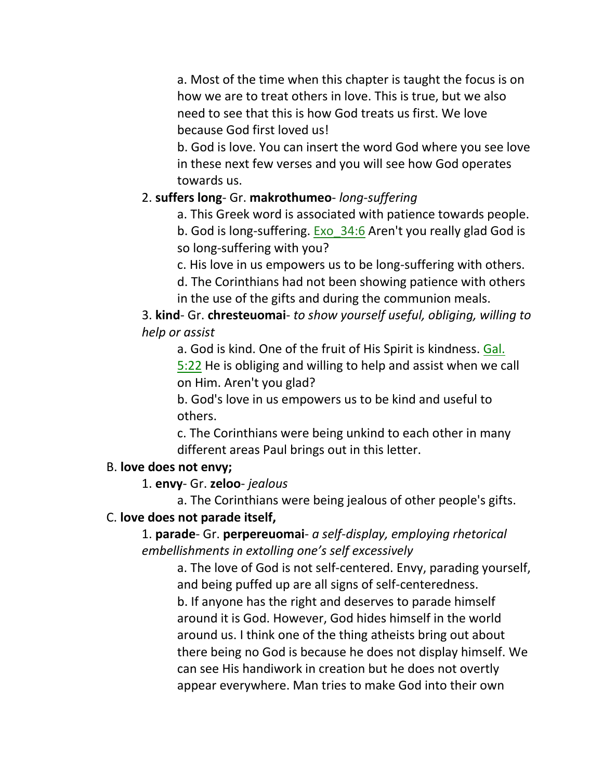a. Most of the time when this chapter is taught the focus is on how we are to treat others in love. This is true, but we also need to see that this is how God treats us first. We love because God first loved us!

b. God is love. You can insert the word God where you see love in these next few verses and you will see how God operates towards us.

# 2. **suffers long**- Gr. **makrothumeo**- *long-suffering*

a. This Greek word is associated with patience towards people.

b. God is long-suffering. Exo 34:6 Aren't you really glad God is so long-suffering with you?

c. His love in us empowers us to be long-suffering with others.

d. The Corinthians had not been showing patience with others in the use of the gifts and during the communion meals.

# 3. **kind**- Gr. **chresteuomai**- *to show yourself useful, obliging, willing to help or assist*

a. God is kind. One of the fruit of His Spirit is kindness. Gal. 5:22 He is obliging and willing to help and assist when we call on Him. Aren't you glad?

b. God's love in us empowers us to be kind and useful to others.

c. The Corinthians were being unkind to each other in many different areas Paul brings out in this letter.

# B. **love does not envy;**

# 1. **envy**- Gr. **zeloo**- *jealous*

a. The Corinthians were being jealous of other people's gifts.

# C. **love does not parade itself,**

1. **parade**- Gr. **perpereuomai**- *a self-display, employing rhetorical embellishments in extolling one's self excessively*

a. The love of God is not self-centered. Envy, parading yourself, and being puffed up are all signs of self-centeredness. b. If anyone has the right and deserves to parade himself around it is God. However, God hides himself in the world around us. I think one of the thing atheists bring out about there being no God is because he does not display himself. We can see His handiwork in creation but he does not overtly appear everywhere. Man tries to make God into their own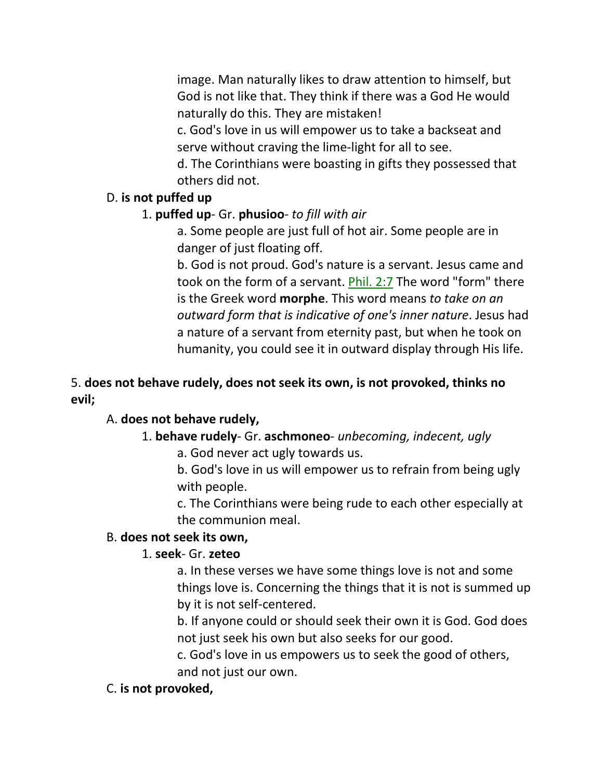image. Man naturally likes to draw attention to himself, but God is not like that. They think if there was a God He would naturally do this. They are mistaken!

c. God's love in us will empower us to take a backseat and serve without craving the lime-light for all to see.

d. The Corinthians were boasting in gifts they possessed that others did not.

### D. **is not puffed up**

### 1. **puffed up**- Gr. **phusioo**- *to fill with air*

a. Some people are just full of hot air. Some people are in danger of just floating off.

b. God is not proud. God's nature is a servant. Jesus came and took on the form of a servant. Phil. 2:7 The word "form" there is the Greek word **morphe**. This word means *to take on an outward form that is indicative of one's inner nature*. Jesus had a nature of a servant from eternity past, but when he took on humanity, you could see it in outward display through His life.

# 5. **does not behave rudely, does not seek its own, is not provoked, thinks no evil;**

### A. **does not behave rudely,**

# 1. **behave rudely**- Gr. **aschmoneo**- *unbecoming, indecent, ugly*

a. God never act ugly towards us.

b. God's love in us will empower us to refrain from being ugly with people.

c. The Corinthians were being rude to each other especially at the communion meal.

### B. **does not seek its own,**

# 1. **seek**- Gr. **zeteo**

a. In these verses we have some things love is not and some things love is. Concerning the things that it is not is summed up by it is not self-centered.

b. If anyone could or should seek their own it is God. God does not just seek his own but also seeks for our good.

c. God's love in us empowers us to seek the good of others, and not just our own.

# C. **is not provoked,**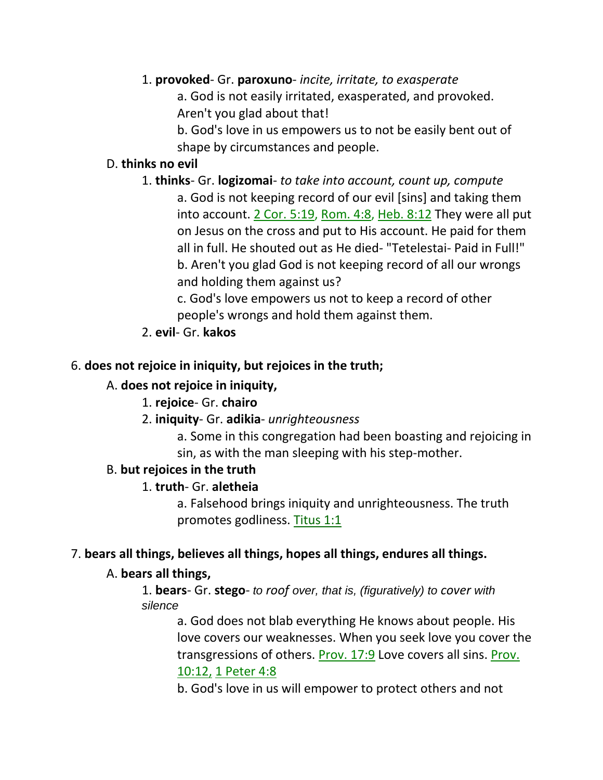### 1. **provoked**- Gr. **paroxuno**- *incite, irritate, to exasperate*

a. God is not easily irritated, exasperated, and provoked. Aren't you glad about that!

b. God's love in us empowers us to not be easily bent out of shape by circumstances and people.

### D. **thinks no evil**

1. **thinks**- Gr. **logizomai**- *to take into account, count up, compute* a. God is not keeping record of our evil [sins] and taking them into account. 2 Cor. 5:19, Rom. 4:8, Heb. 8:12 They were all put on Jesus on the cross and put to His account. He paid for them all in full. He shouted out as He died- "Tetelestai- Paid in Full!" b. Aren't you glad God is not keeping record of all our wrongs and holding them against us?

c. God's love empowers us not to keep a record of other people's wrongs and hold them against them.

2. **evil**- Gr. **kakos**

### 6. **does not rejoice in iniquity, but rejoices in the truth;**

### A. **does not rejoice in iniquity,**

### 1. **rejoice**- Gr. **chairo**

2. **iniquity**- Gr. **adikia**- *unrighteousness*

a. Some in this congregation had been boasting and rejoicing in sin, as with the man sleeping with his step-mother.

### B. **but rejoices in the truth**

### 1. **truth**- Gr. **aletheia**

a. Falsehood brings iniquity and unrighteousness. The truth promotes godliness. Titus 1:1

### 7. **bears all things, believes all things, hopes all things, endures all things.**

### A. **bears all things,**

1. **bears**- Gr. **stego**- *to roof over, that is, (figuratively) to cover with silence* 

a. God does not blab everything He knows about people. His love covers our weaknesses. When you seek love you cover the transgressions of others. Prov. 17:9 Love covers all sins. Prov. 10:12, 1 Peter 4:8

b. God's love in us will empower to protect others and not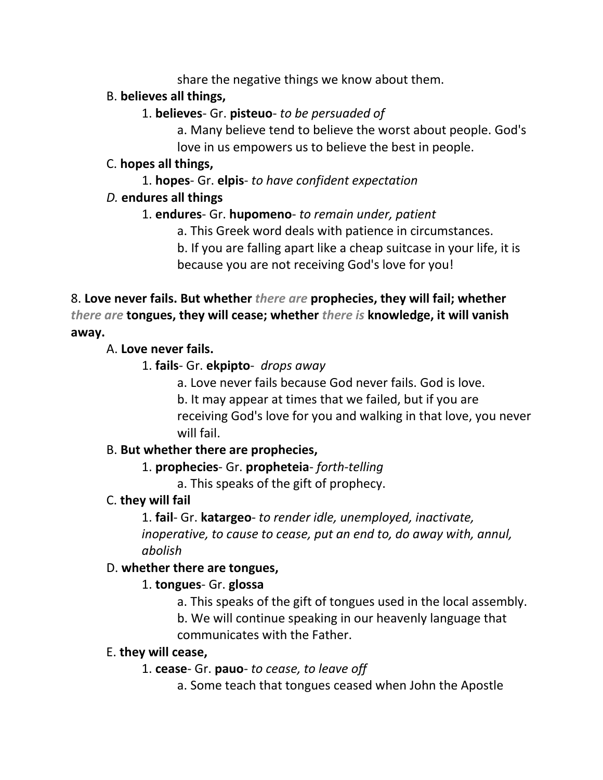share the negative things we know about them.

# B. **believes all things,**

# 1. **believes**- Gr. **pisteuo**- *to be persuaded of*

a. Many believe tend to believe the worst about people. God's love in us empowers us to believe the best in people.

# C. **hopes all things,**

1. **hopes**- Gr. **elpis**- *to have confident expectation*

# *D.* **endures all things**

# 1. **endures**- Gr. **hupomeno**- *to remain under, patient*

a. This Greek word deals with patience in circumstances.

b. If you are falling apart like a cheap suitcase in your life, it is because you are not receiving God's love for you!

8. **Love never fails. But whether** *there are* **prophecies, they will fail; whether**  *there are* **tongues, they will cease; whether** *there is* **knowledge, it will vanish away.** 

# A. **Love never fails.**

- 1. **fails** Gr. **ekpipto** *drops away*
	- a. Love never fails because God never fails. God is love.
	- b. It may appear at times that we failed, but if you are

receiving God's love for you and walking in that love, you never will fail.

# B. **But whether there are prophecies,**

# 1. **prophecies**- Gr. **propheteia**- *forth-telling*

a. This speaks of the gift of prophecy.

# C. **they will fail**

1. **fail**- Gr. **katargeo**- *to render idle, unemployed, inactivate, inoperative, to cause to cease, put an end to, do away with, annul, abolish*

# D. **whether there are tongues,**

# 1. **tongues**- Gr. **glossa**

a. This speaks of the gift of tongues used in the local assembly.

b. We will continue speaking in our heavenly language that communicates with the Father.

# E. **they will cease,**

# 1. **cease**- Gr. **pauo**- *to cease, to leave off*

a. Some teach that tongues ceased when John the Apostle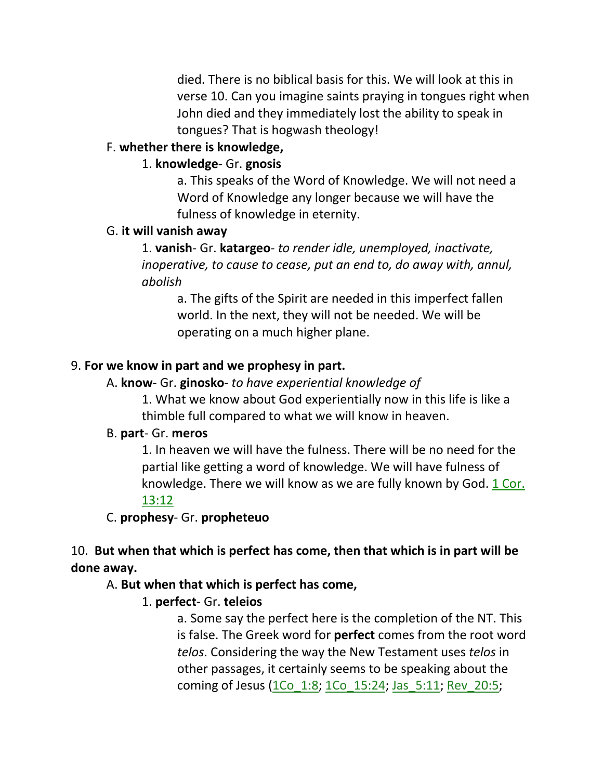died. There is no biblical basis for this. We will look at this in verse 10. Can you imagine saints praying in tongues right when John died and they immediately lost the ability to speak in tongues? That is hogwash theology!

### F. **whether there is knowledge,**

### 1. **knowledge**- Gr. **gnosis**

a. This speaks of the Word of Knowledge. We will not need a Word of Knowledge any longer because we will have the fulness of knowledge in eternity.

#### G. **it will vanish away**

1. **vanish**- Gr. **katargeo**- *to render idle, unemployed, inactivate, inoperative, to cause to cease, put an end to, do away with, annul, abolish*

a. The gifts of the Spirit are needed in this imperfect fallen world. In the next, they will not be needed. We will be operating on a much higher plane.

#### 9. **For we know in part and we prophesy in part.**

#### A. **know**- Gr. **ginosko**- *to have experiential knowledge of*

1. What we know about God experientially now in this life is like a thimble full compared to what we will know in heaven.

#### B. **part**- Gr. **meros**

1. In heaven we will have the fulness. There will be no need for the partial like getting a word of knowledge. We will have fulness of knowledge. There we will know as we are fully known by God. 1 Cor. 13:12

#### C. **prophesy**- Gr. **propheteuo**

# 10. **But when that which is perfect has come, then that which is in part will be done away.**

### A. **But when that which is perfect has come,**

### 1. **perfect**- Gr. **teleios**

a. Some say the perfect here is the completion of the NT. This is false. The Greek word for **perfect** comes from the root word *telos*. Considering the way the New Testament uses *telos* in other passages, it certainly seems to be speaking about the coming of Jesus (1Co\_1:8; 1Co\_15:24; Jas\_5:11; Rev\_20:5;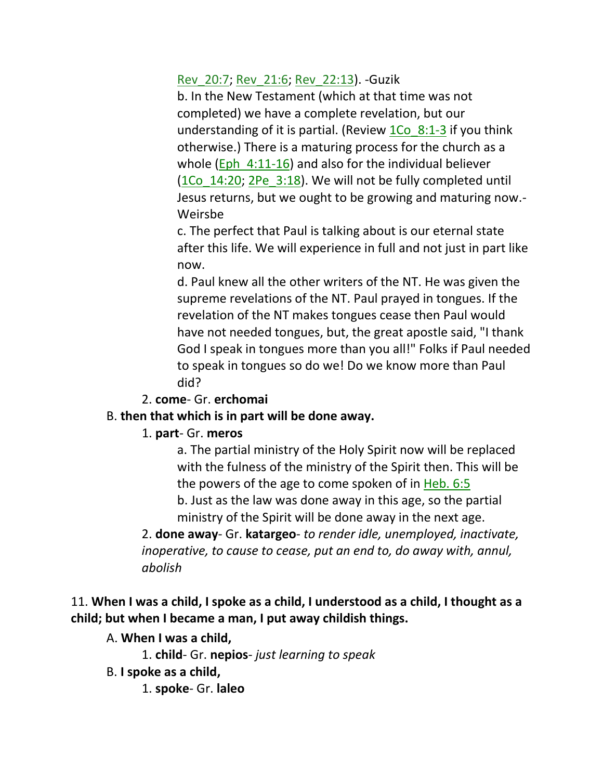Rev\_20:7; Rev\_21:6; Rev\_22:13). -Guzik

b. In the New Testament (which at that time was not completed) we have a complete revelation, but our understanding of it is partial. (Review  $1\text{Co}$  8:1-3 if you think otherwise.) There is a maturing process for the church as a whole (Eph  $4:11-16$ ) and also for the individual believer (1Co\_14:20; 2Pe\_3:18). We will not be fully completed until Jesus returns, but we ought to be growing and maturing now.- Weirsbe

c. The perfect that Paul is talking about is our eternal state after this life. We will experience in full and not just in part like now.

d. Paul knew all the other writers of the NT. He was given the supreme revelations of the NT. Paul prayed in tongues. If the revelation of the NT makes tongues cease then Paul would have not needed tongues, but, the great apostle said, "I thank God I speak in tongues more than you all!" Folks if Paul needed to speak in tongues so do we! Do we know more than Paul did?

### 2. **come**- Gr. **erchomai**

### B. **then that which is in part will be done away.**

### 1. **part**- Gr. **meros**

a. The partial ministry of the Holy Spirit now will be replaced with the fulness of the ministry of the Spirit then. This will be the powers of the age to come spoken of in Heb. 6:5 b. Just as the law was done away in this age, so the partial ministry of the Spirit will be done away in the next age.

2. **done away**- Gr. **katargeo**- *to render idle, unemployed, inactivate, inoperative, to cause to cease, put an end to, do away with, annul, abolish*

# 11. **When I was a child, I spoke as a child, I understood as a child, I thought as a child; but when I became a man, I put away childish things.**

# A. **When I was a child,**

1. **child**- Gr. **nepios**- *just learning to speak*

B. **I spoke as a child,**

1. **spoke**- Gr. **laleo**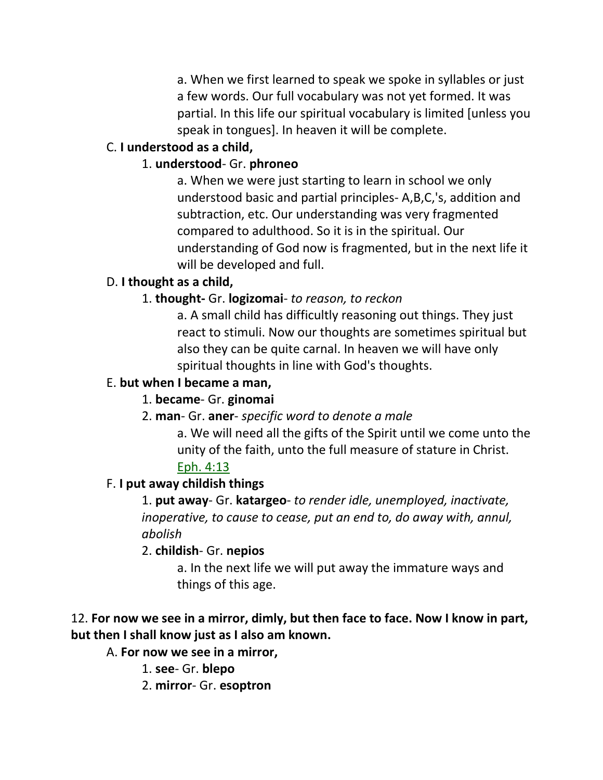a. When we first learned to speak we spoke in syllables or just a few words. Our full vocabulary was not yet formed. It was partial. In this life our spiritual vocabulary is limited [unless you speak in tongues]. In heaven it will be complete.

# C. **I understood as a child,**

# 1. **understood**- Gr. **phroneo**

a. When we were just starting to learn in school we only understood basic and partial principles- A,B,C,'s, addition and subtraction, etc. Our understanding was very fragmented compared to adulthood. So it is in the spiritual. Our understanding of God now is fragmented, but in the next life it will be developed and full.

# D. **I thought as a child,**

# 1. **thought-** Gr. **logizomai**- *to reason, to reckon*

a. A small child has difficultly reasoning out things. They just react to stimuli. Now our thoughts are sometimes spiritual but also they can be quite carnal. In heaven we will have only spiritual thoughts in line with God's thoughts.

### E. **but when I became a man,**

# 1. **became**- Gr. **ginomai**

# 2. **man**- Gr. **aner**- *specific word to denote a male*

a. We will need all the gifts of the Spirit until we come unto the unity of the faith, unto the full measure of stature in Christ. Eph. 4:13

# F. **I put away childish things**

1. **put away**- Gr. **katargeo**- *to render idle, unemployed, inactivate, inoperative, to cause to cease, put an end to, do away with, annul, abolish*

# 2. **childish**- Gr. **nepios**

a. In the next life we will put away the immature ways and things of this age.

# 12. **For now we see in a mirror, dimly, but then face to face. Now I know in part, but then I shall know just as I also am known.**

A. **For now we see in a mirror,**

1. **see**- Gr. **blepo**

2. **mirror**- Gr. **esoptron**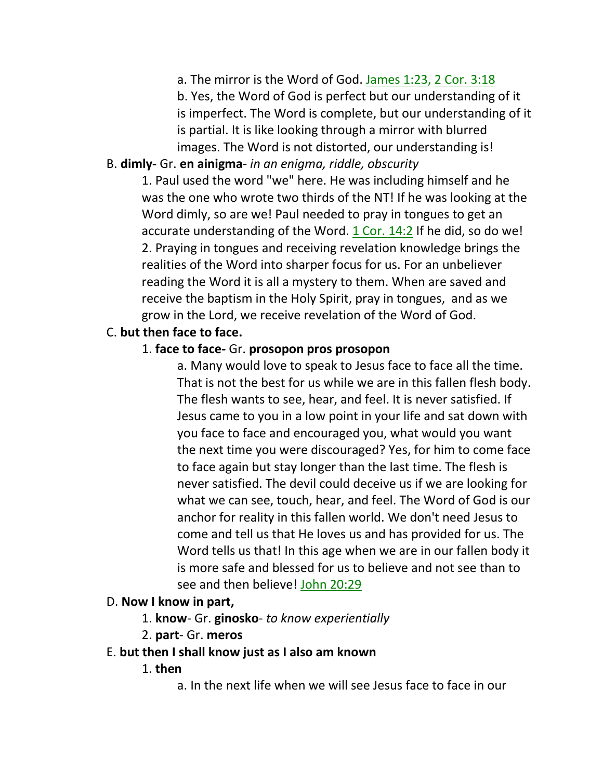a. The mirror is the Word of God. James 1:23, 2 Cor. 3:18

b. Yes, the Word of God is perfect but our understanding of it is imperfect. The Word is complete, but our understanding of it is partial. It is like looking through a mirror with blurred images. The Word is not distorted, our understanding is!

# B. **dimly-** Gr. **en ainigma**- *in an enigma, riddle, obscurity*

1. Paul used the word "we" here. He was including himself and he was the one who wrote two thirds of the NT! If he was looking at the Word dimly, so are we! Paul needed to pray in tongues to get an accurate understanding of the Word. 1 Cor. 14:2 If he did, so do we! 2. Praying in tongues and receiving revelation knowledge brings the realities of the Word into sharper focus for us. For an unbeliever reading the Word it is all a mystery to them. When are saved and receive the baptism in the Holy Spirit, pray in tongues, and as we grow in the Lord, we receive revelation of the Word of God.

### C. **but then face to face.**

### 1. **face to face-** Gr. **prosopon pros prosopon**

a. Many would love to speak to Jesus face to face all the time. That is not the best for us while we are in this fallen flesh body. The flesh wants to see, hear, and feel. It is never satisfied. If Jesus came to you in a low point in your life and sat down with you face to face and encouraged you, what would you want the next time you were discouraged? Yes, for him to come face to face again but stay longer than the last time. The flesh is never satisfied. The devil could deceive us if we are looking for what we can see, touch, hear, and feel. The Word of God is our anchor for reality in this fallen world. We don't need Jesus to come and tell us that He loves us and has provided for us. The Word tells us that! In this age when we are in our fallen body it is more safe and blessed for us to believe and not see than to see and then believe! John 20:29

### D. **Now I know in part,**

- 1. **know** Gr. **ginosko** *to know experientially*
- 2. **part** Gr. **meros**
- E. **but then I shall know just as I also am known**
	- 1. **then**
		- a. In the next life when we will see Jesus face to face in our